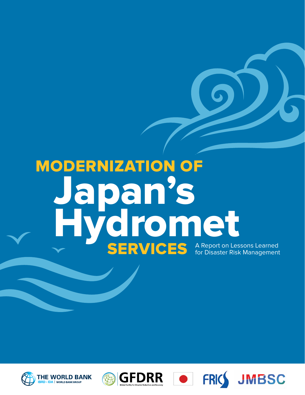# MODERNIZATION OF Japan's **Hydromet SERVICES** A Report on Lessons Learned









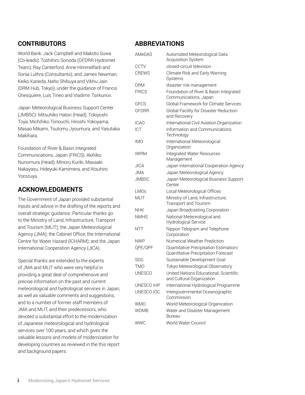#### **CONTRIBUTORS**

World Bank: Jack Campbell and Makoto Suwa (Co-leads); Toshihiro Sonoda (GFDRR Hydromet Team); Ray Canterford, Anne Himmelfarb and Sonia Luthra (Consultants); and James Newman, Keiko Kaneda, Naho Shibuya and Vibhu Jain (DRM Hub, Tokyo), under the guidance of Francis Ghesquiere, Luis Tineo and Vladimir Tsirkunov.

Japan Meteorological Business Support Center (JMBSC): Mitsuhiko Hatori (Head), Tokiyoshi Toya, Michihiko Tonouchi, Hiroshi Yokoyama, Masao Mikami, Tsutomu Jyoumura, and Yasutaka Makihara.

Foundation of River & Basin Integrated Communications, Japan (FRICS): Akihiko Nunomura (Head), Minoru Kuriki, Masaaki Nakayasu, Hideyuki Kamimera, and Atsuhiro Yorozuya.

#### **ACKNOWLEDGMENTS**

The Government of Japan provided substantial inputs and advice in the drafting of the reports and overall strategic guidance. Particular thanks go to the Ministry of Land, Infrastructure, Transport and Tourism (MLIT); the Japan Meteorological Agency (JMA); the Cabinet Office; the International Centre for Water Hazard (ICHARM); and the Japan International Cooperation Agency (JICA).

Special thanks are extended to the experts of JMA and MLIT who were very helpful in providing a great deal of comprehensive and precise information on the past and current meteorological and hydrological services in Japan, as well as valuable comments and suggestions, and to a number of former staff members of JMA and MLIT, and their predecessors, who devoted a substantial effort to the modernization of Japanese meteorological and hydrological services over 100 years, and which gives the valuable lessons and models of modernization for developing countries as reviewed in the this report and background papers.

#### **ABBREVIATIONS**

| <b>AMeDAS</b><br>Automated Meteorological Data<br><b>Acquisition System</b> |                                                                               |  |
|-----------------------------------------------------------------------------|-------------------------------------------------------------------------------|--|
| <b>CCTV</b>                                                                 | closed-circuit television                                                     |  |
| <b>CREWS</b>                                                                | Climate Risk and Early Warning<br>Systems                                     |  |
| DRM                                                                         | disaster risk management                                                      |  |
| <b>FRICS</b>                                                                | Foundation of River & Basin Integrated<br>Communications, Japan               |  |
| GFCS                                                                        | Global Framework for Climate Services                                         |  |
| <b>GFDRR</b>                                                                | Global Facility for Disaster Reduction<br>and Recovery                        |  |
| <b>ICAO</b>                                                                 | International Civil Aviation Organization                                     |  |
| ICT                                                                         | Information and Communications<br>Technology                                  |  |
| <b>IMO</b>                                                                  | International Meteorological<br>Organization                                  |  |
| <b>IWRM</b>                                                                 | Integrated Water Resources<br>Management                                      |  |
| JICA                                                                        | Japan International Cooperation Agency                                        |  |
| <b>JMA</b>                                                                  | Japan Meteorological Agency                                                   |  |
| <b>JMBSC</b>                                                                | Japan Meteorological Business Support<br>Center                               |  |
| <b>LMOs</b>                                                                 | Local Meteorological Offices                                                  |  |
| <b>MLIT</b>                                                                 | Ministry of Land, Infrastructure,<br>Transport and Tourism                    |  |
| NHK                                                                         | Japan Broadcasting Corporation                                                |  |
| <b>NMHS</b>                                                                 | National Meteorological and<br>Hydrological Service                           |  |
| <b>NTT</b>                                                                  | Nippon Telegram and Telephone<br>Corporation                                  |  |
| <b>NWP</b>                                                                  | Numerical Weather Prediction                                                  |  |
| QPE/QPF                                                                     | Quantitative Precipitation Estimation/<br>Quantitative Precipitation Forecast |  |
| <b>SDG</b>                                                                  | Sustainable Development Goal                                                  |  |
| <b>TMO</b>                                                                  | Tokyo Meteorological Observatory                                              |  |
| <b>UNESCO</b>                                                               | United Nations Educational, Scientific<br>and Cultural Organization           |  |
| UNESCO IHP                                                                  | International Hydrological Programme                                          |  |
| UNESCO IOC                                                                  | Intergovernmental Oceanographic<br>Commission                                 |  |
| WMO                                                                         | World Meteorological Organization                                             |  |
| <b>WDMB</b>                                                                 | Water and Disaster Management<br>Bureau                                       |  |
| <b>WWC</b>                                                                  | World Water Council                                                           |  |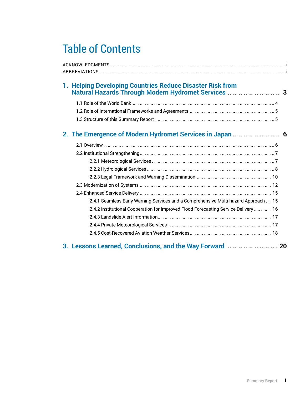# Table of Contents

| 1. Helping Developing Countries Reduce Disaster Risk from<br>Natural Hazards Through Modern Hydromet Services  3 |  |  |  |  |
|------------------------------------------------------------------------------------------------------------------|--|--|--|--|
|                                                                                                                  |  |  |  |  |
|                                                                                                                  |  |  |  |  |
|                                                                                                                  |  |  |  |  |
|                                                                                                                  |  |  |  |  |
|                                                                                                                  |  |  |  |  |
|                                                                                                                  |  |  |  |  |
|                                                                                                                  |  |  |  |  |
|                                                                                                                  |  |  |  |  |
|                                                                                                                  |  |  |  |  |
|                                                                                                                  |  |  |  |  |
|                                                                                                                  |  |  |  |  |
| 2.4.1 Seamless Early Warning Services and a Comprehensive Multi-hazard Approach. 15                              |  |  |  |  |
| 2.4.2 Institutional Cooperation for Improved Flood Forecasting Service Delivery     16                           |  |  |  |  |
|                                                                                                                  |  |  |  |  |
|                                                                                                                  |  |  |  |  |
|                                                                                                                  |  |  |  |  |
| 3. Lessons Learned, Conclusions, and the Way Forward  20                                                         |  |  |  |  |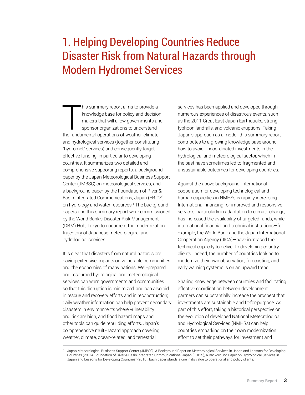## 1. Helping Developing Countries Reduce Disaster Risk from Natural Hazards through Modern Hydromet Services

This summary report aims to provide a<br>
knowledge base for policy and decision<br>
makers that will allow governments and<br>
sponsor organizations to understand<br>
the fundamental operations of weather, climate, his summary report aims to provide a knowledge base for policy and decision makers that will allow governments and sponsor organizations to understand and hydrological services (together constituting "hydromet" services) and consequently target effective funding, in particular to developing countries. It summarizes two detailed and comprehensive supporting reports: a background paper by the Japan Meteorological Business Support Center (JMBSC) on meteorological services; and a background paper by the Foundation of River & Basin Integrated Communications, Japan (FRICS), on hydrology and water resources.1 The background papers and this summary report were commissioned by the World Bank's Disaster Risk Management (DRM) Hub, Tokyo to document the modernization trajectory of Japanese meteorological and hydrological services.

It is clear that disasters from natural hazards are having extensive impacts on vulnerable communities and the economies of many nations. Well-prepared and resourced hydrological and meteorological services can warn governments and communities so that this disruption is minimized, and can also aid in rescue and recovery efforts and in reconstruction; daily weather information can help prevent secondary disasters in environments where vulnerability and risk are high, and flood hazard maps and other tools can guide rebuilding efforts. Japan's comprehensive multi-hazard approach covering weather, climate, ocean-related, and terrestrial

services has been applied and developed through numerous experiences of disastrous events, such as the 2011 Great East Japan Earthquake, strong typhoon landfalls, and volcanic eruptions. Taking Japan's approach as a model, this summary report contributes to a growing knowledge base around how to avoid uncoordinated investments in the hydrological and meteorological sector, which in the past have sometimes led to fragmented and unsustainable outcomes for developing countries.

Against the above background, international cooperation for developing technological and human capacities in NMHSs is rapidly increasing. International financing for improved and responsive services, particularly in adaptation to climate change, has increased the availability of targeted funds, while international financial and technical institutions—for example, the World Bank and the Japan International Cooperation Agency (JICA)—have increased their technical capacity to deliver to developing country clients. Indeed, the number of countries looking to modernize their own observation, forecasting, and early warning systems is on an upward trend.

Sharing knowledge between countries and facilitating effective coordination between development partners can substantially increase the prospect that investments are sustainable and fit-for-purpose. As part of this effort, taking a historical perspective on the evolution of developed National Meteorological and Hydrological Services (NMHSs) can help countries embarking on their own modernization effort to set their pathways for investment and

<sup>1.</sup> Japan Meteorological Business Support Center (JMBSC), A Background Paper on Meteorological Services in Japan and Lessons for Developing Countries (2016). Foundation of River & Basin Integrated Communications, Japan (FRICS), A Background Paper on Hydrological Services in Japan and Lessons for Developing Countries" (2016). Each paper stands alone in its value to operational and policy clients.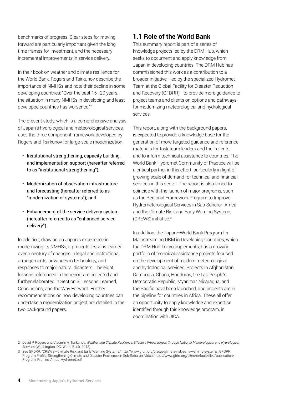benchmarks of progress. Clear steps for moving forward are particularly important given the long time frames for investment, and the necessary incremental improvements in service delivery.

In their book on weather and climate resilience for the World Bank, Rogers and Tsirkunov describe the importance of NMHSs and note their decline in some developing countries: "Over the past 15–20 years, the situation in many NMHSs in developing and least developed countries has worsened."2

The present study, which is a comprehensive analysis of Japan's hydrological and meteorological services, uses the three-component framework developed by Rogers and Tsirkunov for large-scale modernization:

- Institutional strengthening, capacity building, and implementation support (hereafter referred to as "institutional strengthening");
- Modernization of observation infrastructure and forecasting (hereafter referred to as "modernization of systems"); and
- Enhancement of the service delivery system (hereafter referred to as "enhanced service delivery").

In addition, drawing on Japan's experience in modernizing its NMHSs, it presents lessons learned over a century of changes in legal and institutional arrangements, advances in technology, and responses to major natural disasters. The eight lessons referenced in the report are collected and further elaborated in Section 3: Lessons Learned, Conclusions, and the Way Forward. Further recommendations on how developing countries can undertake a modernization project are detailed in the two background papers.

#### **1.1 Role of the World Bank**

This summary report is part of a series of knowledge projects led by the DRM Hub, which seeks to document and apply knowledge from Japan in developing countries. The DRM Hub has commissioned this work as a contribution to a broader initiative—led by the specialized Hydromet Team at the Global Facility for Disaster Reduction and Recovery (GFDRR)—to provide more guidance to project teams and clients on options and pathways for modernizing meteorological and hydrological services.

This report, along with the background papers, is expected to provide a knowledge base for the generation of more targeted guidance and reference materials for task team leaders and their clients, and to inform technical assistance to countries. The World Bank Hydromet Community of Practice will be a critical partner in this effort, particularly in light of growing scale of demand for technical and financial services in this sector. The report is also timed to coincide with the launch of major programs, such as the Regional Framework Program to Improve Hydrometerological Services in Sub-Saharan Africa and the Climate Risk and Early Warning Systems  $(CREWS)$  initiative. $3$ 

In addition, the Japan–World Bank Program for Mainstreaming DRM in Developing Countries, which the DRM Hub Tokyo implements, has a growing portfolio of technical assistance projects focused on the development of modern meteorological and hydrological services. Projects in Afghanistan, Cambodia, Ghana, Honduras, the Lao People's Democratic Republic, Myanmar, Nicaragua, and the Pacific have been launched, and projects are in the pipeline for countries in Africa. These all offer an opportunity to apply knowledge and expertise identified through this knowledge program, in coordination with JICA.

<sup>2</sup> David P. Rogers and Vladimir V. Tsirkunov, *Weather and Climate Resilience: Effective Preparedness through National Meteorological and Hydrological Services* (Washington, DC: World Bank, 2013).

<sup>3</sup> See GFDRR, "CREWS—Climate Risk and Early Warning Systems," [http://www.gfdrr.org/crews-climate-risk-early-warning-systems.](http://www.gfdrr.org/crews-climate-risk-early-warning-systems) GFDRR, Program Profile: Strengthening Climate and Disaster Resilience in Sub-Saharan Africa [https://www.gfdrr.org/sites/default/files/publication/](https://www.gfdrr.org/sites/default/files/publication/Program_Profiles_Africa_Hydromet.pdf) [Program\\_Profiles\\_Africa\\_Hydromet.pdf](https://www.gfdrr.org/sites/default/files/publication/Program_Profiles_Africa_Hydromet.pdf)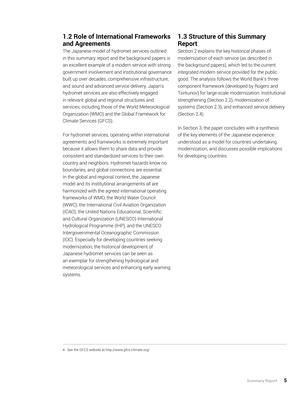#### **1.2 Role of International Frameworks and Agreements**

The Japanese model of hydromet services outlined in this summary report and the background papers is an excellent example of a modern service with strong government involvement and institutional governance built up over decades, comprehensive infrastructure, and sound and advanced service delivery. Japan's hydromet services are also effectively engaged in relevant global and regional structures and services, including those of the World Meteorological Organization (WMO) and the Global Framework for Climate Services (GFCS).

For hydromet services, operating within international agreements and frameworks is extremely important because it allows them to share data and provide consistent and standardized services to their own country and neighbors. Hydromet hazards know no boundaries, and global connections are essential. In the global and regional context, the Japanese model and its institutional arrangements all are harmonized with the agreed international operating frameworks of WMO, the World Water Council (WWC), the International Civil Aviation Organization (ICAO), the United Nations Educational, Scientific and Cultural Organization (UNESCO) International Hydrological Programme (IHP), and the UNESCO Intergovernmental Oceanographic Commission (IOC). Especially for developing countries seeking modernization, the historical development of Japanese hydromet services can be seen as an exemplar for strengthening hydrological and meteorological services and enhancing early warning systems.

#### **1.3 Structure of this Summary Report**

Section 2 explains the key historical phases of modernization of each service (as described in the background papers), which led to the current integrated modern service provided for the public good. The analysis follows the World Bank's threecomponent framework (developed by Rogers and Tsirkunov) for large-scale modernization: Institutional strengthening (Section 2.2), modernization of systems (Section 2.3), and enhanced service delivery (Section 2.4).

In Section 3, the paper concludes with a synthesis of the key elements of the Japanese experience understood as a model for countries undertaking modernization, and discusses possible implications for developing countries.

<sup>4</sup> See the GFCS website at [http://www.gfcs-climate.org/.](http://www.gfcs-climate.org/)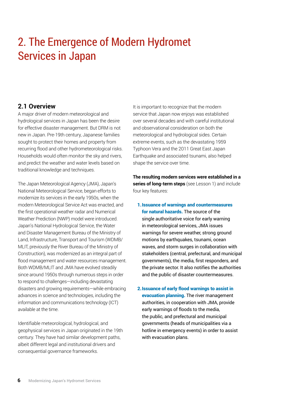## 2. The Emergence of Modern Hydromet Services in Japan

#### **2.1 Overview**

A major driver of modern meteorological and hydrological services in Japan has been the desire for effective disaster management. But DRM is not new in Japan. Pre-19th century, Japanese families sought to protect their homes and property from recurring flood and other hydrometeorological risks. Households would often monitor the sky and rivers, and predict the weather and water levels based on traditional knowledge and techniques.

The Japan Meteorological Agency (JMA), Japan's National Meteorological Service, began efforts to modernize its services in the early 1950s, when the modern Meteorological Service Act was enacted, and the first operational weather radar and Numerical Weather Prediction (NWP) model were introduced. Japan's National Hydrological Service, the Water and Disaster Management Bureau of the Ministry of Land, Infrastructure, Transport and Tourism (WDMB/ MLIT, previously the River Bureau of the Ministry of Construction), was modernized as an integral part of flood management and water resources management. Both WDMB/MLIT and JMA have evolved steadily since around 1950s through numerous steps in order to respond to challenges—including devastating disasters and growing requirements—while embracing advances in science and technologies, including the information and communications technology (ICT) available at the time.

Identifiable meteorological, hydrological, and geophysical services in Japan originated in the 19th century. They have had similar development paths, albeit different legal and institutional drivers and consequential governance frameworks.

It is important to recognize that the modern service that Japan now enjoys was established over several decades and with careful institutional and observational consideration on both the meteorological and hydrological sides. Certain extreme events, such as the devastating 1959 Typhoon Vera and the 2011 Great East Japan Earthquake and associated tsunami, also helped shape the service over time.

**The resulting modern services were established in a series of long-term steps** (see Lesson 1) and include four key features:

- 1.Issuance of warnings and countermeasures for natural hazards. The source of the single authoritative voice for early warning in meteorological services, JMA issues warnings for severe weather, strong ground motions by earthquakes, tsunami, ocean waves, and storm surges in collaboration with stakeholders (central, prefectural, and municipal governments), the media, first responders, and the private sector. It also notifies the authorities and the public of disaster countermeasures.
- 2.Issuance of early flood warnings to assist in evacuation planning. The river management authorities, in cooperation with JMA, provide early warnings of floods to the media, the public, and prefectural and municipal governments (heads of municipalities via a hotline in emergency events) in order to assist with evacuation plans.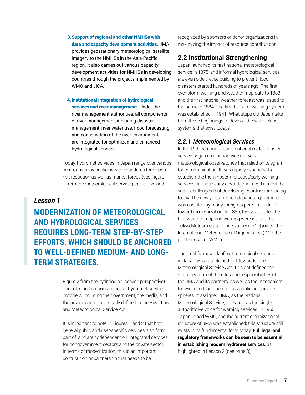3.Support of regional and other NMHSs with data and capacity development activities. JMA provides geostationary meteorological satellite imagery to the NMHSs in the Asia-Pacific region. It also carries out various capacity development activities for NMHSs in developing countries through the projects implemented by WMO and JICA.

4.Institutional integration of hydrological services and river management. Under the river management authorities, all components of river management, including disaster management, river water use, flood forecasting, and conservation of the river environment, are integrated for optimized and enhanced hydrological services.

Today, hydromet services in Japan range over various areas, driven by public service mandates for disaster risk reduction as well as market forces (see Figure 1 from the meteorological service perspective and

#### *Lesson 1*

**MODERNIZATION OF METEOROLOGICAL AND HYDROLOGICAL SERVICES REQUIRES LONG-TERM STEP-BY-STEP EFFORTS, WHICH SHOULD BE ANCHORED TO WELL-DEFINED MEDIUM- AND LONG-TERM STRATEGIES.** 

> Figure 2 from the hydrological service perspective). The roles and responsibilities of hydromet service providers, including the government, the media, and the private sector, are legally defined in the River Law and Meteorological Service Act.

It is important to note in Figures 1 and 2 that both general public and user-specific services also form part of, and are codependent on, integrated services for nongovernment sectors and the private sector. In terms of modernization, this is an important contribution or partnership that needs to be

recognized by sponsors or donor organizations in maximizing the impact of resource contributions.

#### **2.2 Institutional Strengthening**

Japan launched its first national meteorological service in 1875, and informal hydrological services are even older; levee building to prevent flood disasters started hundreds of years ago. The firstever storm warning and weather map date to 1883, and the first national weather forecast was issued to the public in 1884. The first tsunami warning system was established in 1941. What steps did Japan take from these beginnings to develop the world-class systems that exist today?

#### *2.2.1 Meteorological Services*

In the 19th century, Japan's national meteorological service began as a nationwide network of meteorological observatories that relied on telegram for communication. It was rapidly expanded to establish the then-modern forecast/early warning services. In those early days, Japan faced almost the same challenges that developing countries are facing today. The newly established Japanese government was assisted by many foreign experts in its drive toward modernization. In 1885, two years after the first weather map and warning were issued, the Tokyo Meteorological Observatory (TMO) joined the International Meteorological Organization (IMO, the predecessor of WMO).

The legal framework of meteorological services in Japan was established in 1952 under the Meteorological Service Act. This act defined the statutory form of the roles and responsibilities of the JMA and its partners, as well as the mechanism for wider collaboration across public and private spheres. It assigned JMA, as the National Meteorological Service, a key role as the single authoritative voice for warning services. In 1953, Japan joined WMO, and the current organizational structure of JMA was established; this structure still exists in its fundamental form today. **Full legal and regulatory frameworks can be seen to be essential in establishing modern hydromet services**, as highlighted in Lesson 2 (see page 8).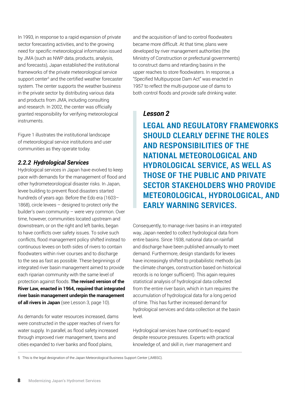In 1993, in response to a rapid expansion of private sector forecasting activities, and to the growing need for specific meteorological information issued by JMA (such as NWP data, products, analysis, and forecasts), Japan established the institutional frameworks of the private meteorological service support center<sup>5</sup> and the certified weather forecaster system. The center supports the weather business in the private sector by distributing various data and products from JMA, including consulting and research. In 2002, the center was officially granted responsibility for verifying meteorological instruments.

Figure 1 illustrates the institutional landscape of meteorological service institutions and user communities as they operate today.

#### *2.2.2 Hydrological Services*

Hydrological services in Japan have evolved to keep pace with demands for the management of flood and other hydrometeorological disaster risks. In Japan, levee building to prevent flood disasters started hundreds of years ago. Before the Edo era (1603– 1868), circle levees – designed to protect only the builder's own community – were very common. Over time, however, communities located upstream and downstream, or on the right and left banks, began to have conflicts over safety issues. To solve such conflicts, flood management policy shifted instead to continuous levees on both sides of rivers to contain floodwaters within river courses and to discharge to the sea as fast as possible. These beginnings of integrated river basin management aimed to provide each riparian community with the same level of protection against floods. **The revised version of the River Law, enacted in 1964, required that integrated river basin management underpin the management of all rivers in Japan** (see Lesson 3, page 10).

As demands for water resources increased, dams were constructed in the upper reaches of rivers for water supply. In parallel, as flood safety increased through improved river management, towns and cities expanded to river banks and flood plains,

and the acquisition of land to control floodwaters became more difficult. At that time, plans were developed by river management authorities (the Ministry of Construction or prefectural governments) to construct dams and retarding basins in the upper reaches to store floodwaters. In response, a "Specified Multipurpose Dam Act" was enacted in 1957 to reflect the multi-purpose use of dams to both control floods and provide safe drinking water.

#### *Lesson 2*

**LEGAL AND REGULATORY FRAMEWORKS SHOULD CLEARLY DEFINE THE ROLES AND RESPONSIBILITIES OF THE NATIONAL METEOROLOGICAL AND HYDROLOGICAL SERVICE, AS WELL AS THOSE OF THE PUBLIC AND PRIVATE SECTOR STAKEHOLDERS WHO PROVIDE METEOROLOGICAL, HYDROLOGICAL, AND EARLY WARNING SERVICES.**

Consequently, to manage river basins in an integrated way, Japan needed to collect hydrological data from entire basins. Since 1938, national data on rainfall and discharge have been published annually to meet demand. Furthermore, design standards for levees have increasingly shifted to probabilistic methods (as the climate changes, construction based on historical records is no longer sufficient). This again requires statistical analysis of hydrological data collected from the entire river basin, which in turn requires the accumulation of hydrological data for a long period of time. This has further increased demand for hydrological services and data collection at the basin level.

Hydrological services have continued to expand despite resource pressures. Experts with practical knowledge of, and skill in, river management and

5 This is the legal designation of the Japan Meteorological Business Support Center (JMBSC).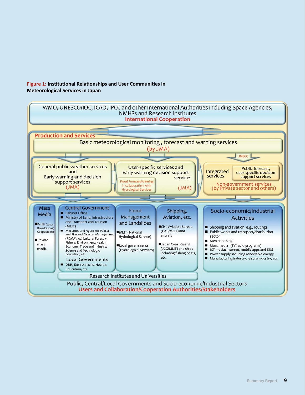#### **Figure 1: Insttutonal Relatonships and User Communites in Meteorological Services in Japan**

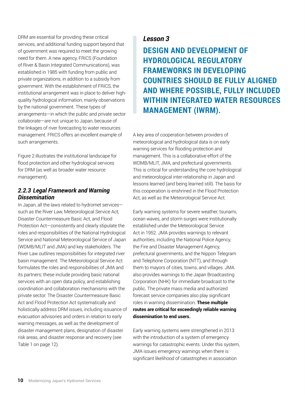DRM are essential for providing these critical services, and additional funding support beyond that of government was required to meet the growing need for them. A new agency, FRICS (Foundation of River & Basin Integrated Communications), was established in 1985 with funding from public and private organizations, in addition to a subsidy from government. With the establishment of FRICS, the institutional arrangement was in place to deliver highquality hydrological information, mainly observations by the national government. These types of arrangements—in which the public and private sector collaborate—are not unique to Japan, because of the linkages of river forecasting to water resources management. FRICS offers an excellent example of such arrangements.

Figure 2 illustrates the institutional landscape for flood protection and other hydrological services for DRM (as well as broader water resource management).

#### *2.2.3 Legal Framework and Warning Dissemination*

In Japan, all the laws related to hydromet services such as the River Law, Meteorological Service Act, Disaster Countermeasure Basic Act, and Flood Protection Act—consistently and clearly stipulate the roles and responsibilities of the National Hydrological Service and National Meteorological Service of Japan (WDMB/MLIT and JMA) and key stakeholders. The River Law outlines responsibilities for integrated river basin management. The Meteorological Service Act formulates the roles and responsibilities of JMA and its partners; these include providing basic national services with an open data policy, and establishing coordination and collaboration mechanisms with the private sector. The Disaster Countermeasure Basic Act and Flood Protection Act systematically and holistically address DRM issues, including issuance of evacuation advisories and orders in relation to early warning messages, as well as the development of disaster management plans, designation of disaster risk areas, and disaster response and recovery (see Table 1 on page 12).

#### *Lesson 3*

**DESIGN AND DEVELOPMENT OF HYDROLOGICAL REGULATORY FRAMEWORKS IN DEVELOPING COUNTRIES SHOULD BE FULLY ALIGNED AND WHERE POSSIBLE, FULLY INCLUDED WITHIN INTEGRATED WATER RESOURCES MANAGEMENT (IWRM).**

A key area of cooperation between providers of meteorological and hydrological data is on early warning services for flooding protection and management. This is a collaborative effort of the WDMB/MLIT, JMA, and prefectural governments. This is critical for understanding the core hydrological and meteorological inter-relationship in Japan and lessons learned (and being learned still). The basis for this cooperation is enshrined in the Flood Protection Act, as well as the Meteorological Service Act.

Early warning systems for severe weather, tsunami, ocean waves, and storm surges were institutionally established under the Meteorological Service Act in 1952. JMA provides warnings to relevant authorities, including the National Police Agency, the Fire and Disaster Management Agency, prefectural governments, and the Nippon Telegram and Telephone Corporation (NTT), and through them to mayors of cities, towns, and villages. JMA also provides warnings to the Japan Broadcasting Corporation (NHK) for immediate broadcast to the public. The private mass media and authorized forecast service companies also play significant roles in warning dissemination. **These multiple routes are critical for exceedingly reliable warning dissemination to end users.**

Early warning systems were strengthened in 2013 with the introduction of a system of emergency warnings for catastrophic events. Under this system, JMA issues emergency warnings when there is significant likelihood of catastrophes in association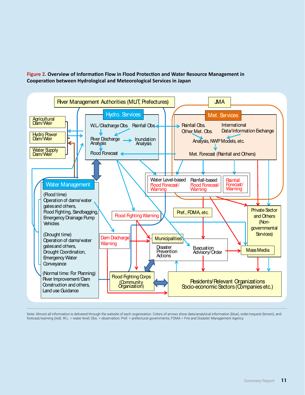

Figure 2. Overview of Information Flow in Flood Protection and Water Resource Management in **Cooperaton between Hydrological and Meteorological Services in Japan**

Note: Almost all information is delivered through the website of each organization. Colors of arrows show data/analytical information (blue), order/request (brown), and forecast/warning (red). W.L. = water level; Obs. = observation; Pref. = prefectural governments; FDMA = Fire and Disaster Management Agency.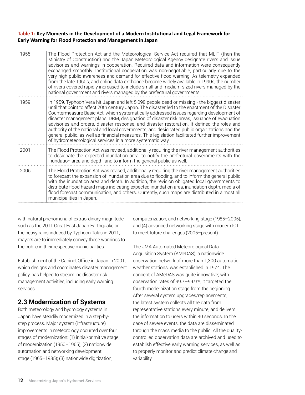#### **Table 1: Key Moments in the Development of a Modern Insttutonal and Legal Framework for Early Warning for Flood Protecton and Management in Japan**

| 1955 | The Flood Protection Act and the Meteorological Service Act required that MLIT (then the<br>Ministry of Construction) and the Japan Meteorological Agency designate rivers and issue<br>advisories and warnings in cooperation. Required data and information were consequently<br>exchanged smoothly. Institutional cooperation was non-negotiable, particularly due to the<br>very high public awareness and demand for effective flood warning. As telemetry expanded<br>from the late 1960s, and online data exchange became widely available in 1990s, the number<br>of rivers covered rapidly increased to include small and medium-sized rivers managed by the<br>national government and rivers managed by the prefectural governments.            |  |
|------|------------------------------------------------------------------------------------------------------------------------------------------------------------------------------------------------------------------------------------------------------------------------------------------------------------------------------------------------------------------------------------------------------------------------------------------------------------------------------------------------------------------------------------------------------------------------------------------------------------------------------------------------------------------------------------------------------------------------------------------------------------|--|
| 1959 | In 1959, Typhoon Vera hit Japan and left 5,098 people dead or missing - the biggest disaster<br>until that point to affect 20th century Japan. The disaster led to the enactment of the Disaster<br>Countermeasure Basic Act, which systematically addressed issues regarding development of<br>disaster management plans, DRM, designation of disaster risk areas, issuance of evacuation<br>advisories and orders, disaster response, and disaster restoration. It defined the roles and<br>authority of the national and local governments, and designated public organizations and the<br>general public, as well as financial measures. This legislation facilitated further improvement<br>of hydrometeorological services in a more systematic way. |  |
| 2001 | The Flood Protection Act was revised, additionally requiring the river management authorities<br>to designate the expected inundation area, to notify the prefectural governments with the<br>inundation area and depth, and to inform the general public as well.                                                                                                                                                                                                                                                                                                                                                                                                                                                                                         |  |
| 2005 | The Flood Protection Act was revised, additionally requiring the river management authorities<br>to forecast the expansion of inundation area due to flooding, and to inform the general public<br>with the inundation area and depth. In addition, the revision obligated local governments to<br>distribute flood hazard maps indicating expected inundation area, inundation depth, media of<br>flood forecast communication, and others. Currently, such maps are distributed in almost all<br>municipalities in Japan.                                                                                                                                                                                                                                |  |

with natural phenomena of extraordinary magnitude, such as the 2011 Great East Japan Earthquake or the heavy rains induced by Typhoon Talas in 2011; mayors are to immediately convey these warnings to the public in their respective municipalities.

Establishment of the Cabinet Office in Japan in 2001, which designs and coordinates disaster management policy, has helped to streamline disaster risk management activities, including early warning services.

#### **2.3 Modernization of Systems**

Both meteorology and hydrology systems in Japan have steadily modernized in a step-bystep process. Major system (infrastructure) improvements in meteorology occurred over four stages of modernization: (1) initial/primitive stage of modernization (1950–1965); (2) nationwide automation and networking development stage (1965–1985); (3) nationwide digitization,

computerization, and networking stage (1985–2005); and (4) advanced networking stage with modern ICT to meet future challenges (2005–present).

The JMA Automated Meteorological Data Acquisition System (AMeDAS), a nationwide observation network of more than 1,300 automatic weather stations, was established in 1974. The concept of AMeDAS was quite innovative; with observation rates of 99.7–99.9%, it targeted the fourth modernization stage from the beginning. After several system upgrades/replacements, the latest system collects all the data from representative stations every minute, and delivers the information to users within 40 seconds. In the case of severe events, the data are disseminated through the mass media to the public. All the qualitycontrolled observation data are archived and used to establish effective early warning services, as well as to properly monitor and predict climate change and variability.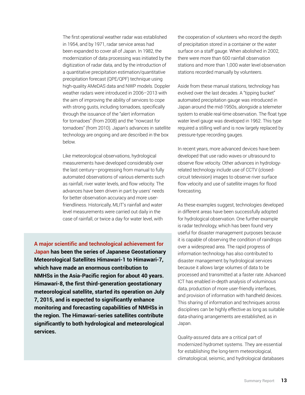The first operational weather radar was established in 1954, and by 1971, radar service areas had been expanded to cover all of Japan. In 1982, the modernization of data processing was initiated by the digitization of radar data, and by the introduction of a quantitative precipitation estimation/quantitative precipitation forecast (QPE/QPF) technique using high-quality AMeDAS data and NWP models. Doppler weather radars were introduced in 2006–2013 with the aim of improving the ability of services to cope with strong gusts, including tornadoes, specifically through the issuance of the "alert information for tornadoes" (from 2008) and the "nowcast for tornadoes" (from 2010). Japan's advances in satellite technology are ongoing and are described in the box below.

Like meteorological observations, hydrological measurements have developed considerably over the last century—progressing from manual to fully automated observations of various elements such as rainfall, river water levels, and flow velocity. The advances have been driven in part by users' needs for better observation accuracy and more userfriendliness. Historically, MLIT's rainfall and water level measurements were carried out daily in the case of rainfall, or twice a day for water level, with

**A major scientific and technological achievement for Japan has been the series of Japanese Geostationary Meteorological Satellites Himawari-1 to Himawari-7, which have made an enormous contribution to NMHSs in the Asia-Pacific region for about 40 years. Himawari-8, the first third-generation geostationary meteorological satellite, started its operation on July 7, 2015, and is expected to significantly enhance monitoring and forecasting capabilities of NMHSs in the region. The Himawari-series satellites contribute significantly to both hydrological and meteorological services.**

the cooperation of volunteers who record the depth of precipitation stored in a container or the water surface on a staff gauge. When abolished in 2002, there were more than 600 rainfall observation stations and more than 1,000 water level observation stations recorded manually by volunteers.

Aside from these manual stations, technology has evolved over the last decades. A "tipping bucket" automated precipitation gauge was introduced in Japan around the mid-1950s, alongside a telemeter system to enable real-time observation. The float type water level gauge was developed in 1962. This type required a stilling well and is now largely replaced by pressure-type recording gauges.

In recent years, more advanced devices have been developed that use radio waves or ultrasound to observe flow velocity. Other advances in hydrologyrelated technology include use of CCTV (closedcircuit television) images to observe river surface flow velocity and use of satellite images for flood forecasting.

As these examples suggest, technologies developed in different areas have been successfully adopted for hydrological observation. One further example is radar technology, which has been found very useful for disaster management purposes because it is capable of observing the condition of raindrops over a widespread area. The rapid progress of information technology has also contributed to disaster management by hydrological services because it allows large volumes of data to be processed and transmitted at a faster rate. Advanced ICT has enabled in-depth analysis of voluminous data, production of more user-friendly interfaces, and provision of information with handheld devices. This sharing of information and techniques across disciplines can be highly effective as long as suitable data-sharing arrangements are established, as in Japan.

Quality-assured data are a critical part of modernized hydromet systems. They are essential for establishing the long-term meteorological, climatological, seismic, and hydrological databases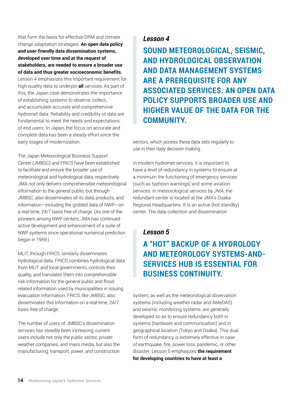that form the basis for effective DRM and climate change adaptation strategies. **An open data policy and user-friendly data dissemination systems, developed over time and at the request of stakeholders, are needed to ensure a broader use of data and thus greater socioeconomic benefits.** Lesson 4 emphasizes this important requirement for high-quality data to underpin **all** services. As part of this, the Japan case demonstrates the importance of establishing systems to observe, collect, and accumulate accurate and comprehensive hydromet data. Reliability and credibility of data are fundamental to meet the needs and expectations of end users. In Japan, the focus on accurate and complete data has been a steady effort since the early stages of modernization.

The Japan Meteorological Business Support Center (JMBSC) and FRICS have been established to facilitate and ensure the broader use of meteorological and hydrological data, respectively. JMA not only delivers comprehensible meteorological information to the general public, but through JMBSC, also disseminates all its data, products, and information—including the gridded data of NWP—on a real-time, 24/7 basis free of charge. (As one of the pioneers among NWP centers, JMA has continued active development and enhancement of a suite of NWP systems since operational numerical prediction began in 1959.)

MLIT, through FRICS, similarly disseminates hydrological data. FRICS combines hydrological data from MLIT and local governments, controls their quality, and translates them into comprehensible risk information for the general public and floodrelated information used by municipalities in issuing evacuation information. FRICS, like JMBSC, also disseminates this information on a real-time, 24/7 basis free of charge.

The number of users of JMBSC's dissemination services has steadily been increasing; current users include not only the public sector, private weather companies, and mass media, but also the manufacturing, transport, power, and construction

#### *Lesson 4*

**SOUND METEOROLOGICAL, SEISMIC, AND HYDROLOGICAL OBSERVATION AND DATA MANAGEMENT SYSTEMS ARE A PREREQUISITE FOR ANY ASSOCIATED SERVICES. AN OPEN DATA POLICY SUPPORTS BROADER USE AND HIGHER VALUE OF THE DATA FOR THE COMMUNITY.** 

sectors, which access these data sets regularly to use in their daily decision making.

In modern hydromet services, it is important to have a level of redundancy in systems to ensure at a minimum the functioning of emergency services (such as typhoon warnings) and some aviation services. In meteorological services by JMA, the redundant center is located at the JMA's Osaka Regional Headquarters. It is an active (hot standby) center. The data collection and dissemination

#### *Lesson 5*

## **A "HOT" BACKUP OF A HYDROLOGY AND METEOROLOGY SYSTEMS-AND-SERVICES HUB IS ESSENTIAL FOR BUSINESS CONTINUITY.**

system, as well as the meteorological observation systems (including weather radar and AMeDAS) and seismic monitoring systems, are generally developed so as to ensure redundancy both in systems (hardware and communication) and in geographical location (Tokyo and Osaka). This dual form of redundancy is extremely effective in case of earthquake, fire, power loss, pandemic, or other disaster. Lesson 5 emphasizes **the requirement for developing countries to have at least a**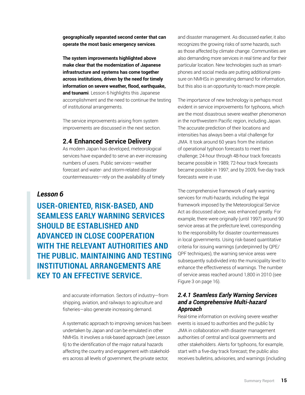**geographically separated second center that can operate the most basic emergency services**.

**The system improvements highlighted above make clear that the modernization of Japanese infrastructure and systems has come together across institutions, driven by the need for timely information on severe weather, flood, earthquake, and tsunami**. Lesson 6 highlights this Japanese accomplishment and the need to continue the testing of institutional arrangements.

The service improvements arising from system improvements are discussed in the next section.

#### **2.4 Enhanced Service Delivery**

As modern Japan has developed, meteorological services have expanded to serve an ever-increasing numbers of users. Public services—weather forecast and water- and storm-related disaster countermeasures—rely on the availability of timely

#### *Lesson 6*

**USER-ORIENTED, RISK-BASED, AND SEAMLESS EARLY WARNING SERVICES SHOULD BE ESTABLISHED AND ADVANCED IN CLOSE COOPERATION WITH THE RELEVANT AUTHORITIES AND THE PUBLIC. MAINTAINING AND TESTING INSTITUTIONAL ARRANGEMENTS ARE KEY TO AN EFFECTIVE SERVICE.** 

> and accurate information. Sectors of industry—from shipping, aviation, and railways to agriculture and fisheries—also generate increasing demand.

A systematic approach to improving services has been undertaken by Japan and can be emulated in other NMHSs. It involves a risk-based approach (see Lesson 6) to the identification of the major natural hazards affecting the country and engagement with stakeholders across all levels of government, the private sector,

and disaster management. As discussed earlier, it also recognizes the growing risks of some hazards, such as those affected by climate change. Communities are also demanding more services in real time and for their particular location. New technologies such as smartphones and social media are putting additional pressure on NMHSs in generating demand for information, but this also is an opportunity to reach more people.

The importance of new technology is perhaps most evident in service improvements for typhoons, which are the most disastrous severe weather phenomenon in the northwestern Pacific region, including Japan. The accurate prediction of their locations and intensities has always been a vital challenge for JMA. It took around 60 years from the initiation of operational typhoon forecasts to meet this challenge; 24-hour through 48-hour track forecasts became possible in 1989; 72-hour track forecasts became possible in 1997; and by 2009, five-day track forecasts were in use.

The comprehensive framework of early warning services for multi-hazards, including the legal framework imposed by the Meteorological Service Act as discussed above, was enhanced greatly. For example, there were originally (until 1997) around 90 service areas at the prefecture level, corresponding to the responsibility for disaster countermeasures in local governments. Using risk-based quantitative criteria for issuing warnings (underpinned by QPE/ QPF techniques), the warning service areas were subsequently subdivided into the municipality level to enhance the effectiveness of warnings. The number of service areas reached around 1,800 in 2010 (see Figure 3 on page 16).

#### *2.4.1 Seamless Early Warning Services and a Comprehensive Multi-hazard Approach*

Real-time information on evolving severe weather events is issued to authorities and the public by JMA in collaboration with disaster management authorities of central and local governments and other stakeholders. Alerts for typhoons, for example, start with a five-day track forecast; the public also receives bulletins, advisories, and warnings (including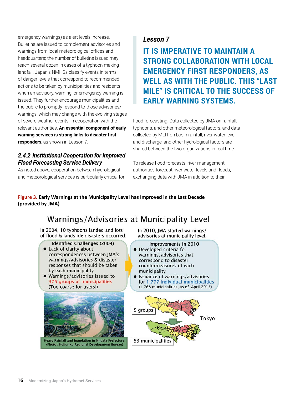emergency warnings) as alert levels increase. Bulletins are issued to complement advisories and warnings from local meteorological offices and headquarters; the number of bulletins issued may reach several dozen in cases of a typhoon making landfall. Japan's NMHSs classify events in terms of danger levels that correspond to recommended actions to be taken by municipalities and residents when an advisory, warning, or emergency warning is issued. They further encourage municipalities and the public to promptly respond to those advisories/ warnings, which may change with the evolving stages of severe weather events, in cooperation with the relevant authorities. **An essential component of early warning services is strong links to disaster first responders**, as shown in Lesson 7.

#### *2.4.2 Institutional Cooperation for Improved Flood Forecasting Service Delivery*

As noted above, cooperation between hydrological and meteorological services is particularly critical for

#### *Lesson 7*

**IT IS IMPERATIVE TO MAINTAIN A STRONG COLLABORATION WITH LOCAL EMERGENCY FIRST RESPONDERS, AS WELL AS WITH THE PUBLIC. THIS "LAST MILE" IS CRITICAL TO THE SUCCESS OF EARLY WARNING SYSTEMS.**

flood forecasting. Data collected by JMA on rainfall, typhoons, and other meteorological factors, and data collected by MLIT on basin rainfall, river water level and discharge, and other hydrological factors are shared between the two organizations in real time.

To release flood forecasts, river management authorities forecast river water levels and floods, exchanging data with JMA in addition to their

#### **Figure 3. Early Warnings at the Municipality Level has Improved in the Last Decade (provided by JMA)**

## Warnings/Advisories at Municipality Level

In 2004, 10 typhoons landed and lots of flood & landslide disasters occurred.

**Identified Challenges (2004)** 

- Lack of clarity about correspondences between JMA's warnings/advisories & disaster responses that should be taken by each municipality
- · Warnings/advisories issued to 375 groups of municipalities (Too coarse for users!)



Heavy Rainfall and Inundation in Niigata Prefecture (Photo: Hokuriku Regional Development Bureau)

In 2010, JMA started warnings/ advisories at municipality level.

Improvements in 2010

- Developed criteria for warnings/advisories that correspond to disaster countermeasures of each municipality
- $\bullet$ Issuance of warnings/advisories for 1,777 individual municipalities (1,768 municipalities, as of April 2015)

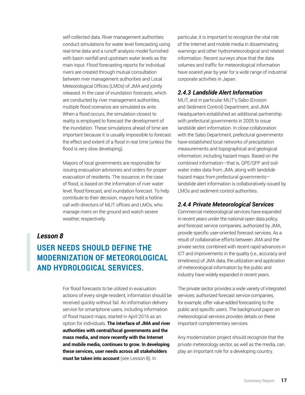self-collected data. River management authorities conduct simulations for water level forecasting using real-time data and a runoff analysis model furnished with basin rainfall and upstream water levels as the main input. Flood forecasting reports for individual rivers are created through mutual consultation between river management authorities and Local Meteorological Offices (LMOs) of JMA and jointly released. In the case of inundation forecasts, which are conducted by river management authorities, multiple flood scenarios are simulated ex ante. When a flood occurs, the simulation closest to reality is employed to forecast the development of the inundation. These simulations ahead of time are important because it is usually impossible to forecast the effect and extent of a flood in real time (unless the flood is very slow developing).

Mayors of local governments are responsible for issuing evacuation advisories and orders for proper evacuation of residents. The issuance, in the case of flood, is based on the information of river water level, flood forecast, and inundation forecast. To help contribute to their decision, mayors hold a hotline call with directors of MLIT offices and LMOs, who manage rivers on the ground and watch severe weather, respectively.

#### *Lesson 8*

## **USER NEEDS SHOULD DEFINE THE MODERNIZATION OF METEOROLOGICAL AND HYDROLOGICAL SERVICES.**

For flood forecasts to be utilized in evacuation actions of every single resident, information should be received quickly without fail. An information delivery service for smartphone users, including information of flood hazard maps, started in April 2016 as an option for individuals. **The interface of JMA and river authorities with central/local governments and the mass media, and more recently with the Internet and mobile media, continues to grow. In developing these services, user needs across all stakeholders must be taken into account** (see Lesson 8). In

particular, it is important to recognize the vital role of the Internet and mobile media in disseminating warnings and other hydrometeorological and related information. Recent surveys show that the data volumes and traffic for meteorological information have soared year by year for a wide range of industrial corporate activities in Japan.

#### *2.4.3 Landslide Alert Information*

MLIT, and in particular MLIT's Sabo (Erosion and Sediment Control) Department, and JMA Headquarters established an additional partnership with prefectural governments in 2005 to issue landslide alert information. In close collaboration with the Sabo Department, prefectural governments have established local networks of precipitation measurements and topographical and geological information, including hazard maps. Based on the combined information—that is, QPE/QPF and soilwater index data from JMA, along with landslide hazard maps from prefectural governments landslide alert information is collaboratively issued by LMOs and sediment control authorities.

#### *2.4.4 Private Meteorological Services*

Commercial meteorological services have expanded in recent years under the national open data policy, and forecast service companies, authorized by JMA, provide specific user-oriented forecast services. As a result of collaborative efforts between JMA and the private sector, combined with recent rapid advances in ICT and improvements in the quality (i.e., accuracy and timeliness) of JMA data, the utilization and application of meteorological information by the public and industry have widely expanded in recent years.

The private sector provides a wide variety of integrated services; authorized forecast service companies, for example, offer value-added forecasting to the public and specific users. The background paper on meteorological services provides details on these important complementary services.

Any modernization project should recognize that the private meteorology sector, as well as the media, can play an important role for a developing country.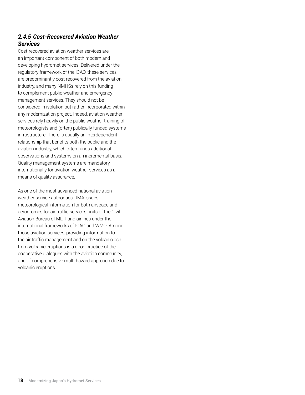#### *2.4.5 Cost-Recovered Aviation Weather Services*

Cost-recovered aviation weather services are an important component of both modern and developing hydromet services. Delivered under the regulatory framework of the ICAO, these services are predominantly cost-recovered from the aviation industry, and many NMHSs rely on this funding to complement public weather and emergency management services. They should not be considered in isolation but rather incorporated within any modernization project. Indeed, aviation weather services rely heavily on the public weather training of meteorologists and (often) publically funded systems infrastructure. There is usually an interdependent relationship that benefits both the public and the aviation industry, which often funds additional observations and systems on an incremental basis. Quality management systems are mandatory internationally for aviation weather services as a means of quality assurance.

As one of the most advanced national aviation weather service authorities, JMA issues meteorological information for both airspace and aerodromes for air traffic services units of the Civil Aviation Bureau of MLIT and airlines under the international frameworks of ICAO and WMO. Among those aviation services, providing information to the air traffic management and on the volcanic ash from volcanic eruptions is a good practice of the cooperative dialogues with the aviation community, and of comprehensive multi-hazard approach due to volcanic eruptions.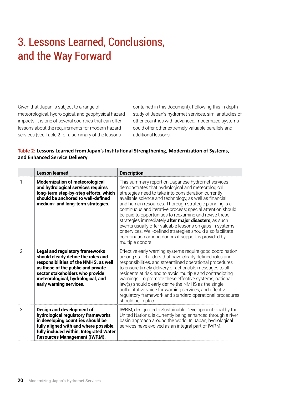# 3. Lessons Learned, Conclusions, and the Way Forward

Given that Japan is subject to a range of meteorological, hydrological, and geophysical hazard impacts, it is one of several countries that can offer lessons about the requirements for modern hazard services (see Table 2 for a summary of the lessons

contained in this document). Following this in-depth study of Japan's hydromet services, similar studies of other countries with advanced, modernized systems could offer other extremely valuable parallels and additional lessons.

#### Table 2: Lessons Learned from Japan's Institutional Strengthening, Modernization of Systems, **and Enhanced Service Delivery**

|               | <b>Lesson learned</b>                                                                                                                                                                                                                                           | <b>Description</b>                                                                                                                                                                                                                                                                                                                                                                                                                                                                                                                                                                                                                                                       |
|---------------|-----------------------------------------------------------------------------------------------------------------------------------------------------------------------------------------------------------------------------------------------------------------|--------------------------------------------------------------------------------------------------------------------------------------------------------------------------------------------------------------------------------------------------------------------------------------------------------------------------------------------------------------------------------------------------------------------------------------------------------------------------------------------------------------------------------------------------------------------------------------------------------------------------------------------------------------------------|
| 1.            | <b>Modernization of meteorological</b><br>and hydrological services requires<br>long-term step-by-step efforts, which<br>should be anchored to well-defined<br>medium- and long-term strategies.                                                                | This summary report on Japanese hydromet services<br>demonstrates that hydrological and meteorological<br>strategies need to take into consideration currently<br>available science and technology, as well as financial<br>and human resources. Thorough strategic planning is a<br>continuous and iterative process; special attention should<br>be paid to opportunities to reexamine and revise these<br>strategies immediately after major disasters, as such<br>events usually offer valuable lessons on gaps in systems<br>or services. Well-defined strategies should also facilitate<br>coordination among donors if support is provided by<br>multiple donors. |
| 2.            | <b>Legal and regulatory frameworks</b><br>should clearly define the roles and<br>responsibilities of the NMHS, as well<br>as those of the public and private<br>sector stakeholders who provide<br>meteorological, hydrological, and<br>early warning services. | Effective early warning systems require good coordination<br>among stakeholders that have clearly defined roles and<br>responsibilities, and streamlined operational procedures<br>to ensure timely delivery of actionable messages to all<br>residents at risk, and to avoid multiple and contradicting<br>warnings. To promote these effective systems, national<br>law(s) should clearly define the NMHS as the single<br>authoritative voice for warning services, and effective<br>regulatory framework and standard operational procedures<br>should be in place.                                                                                                  |
| $\mathcal{S}$ | Design and development of<br>hydrological regulatory frameworks<br>in developing countries should be<br>fully aligned with and where possible,<br>fully included within, Integrated Water<br><b>Resources Management (IWRM).</b>                                | IWRM, designated a Sustainable Development Goal by the<br>United Nations, is currently being enhanced through a river<br>basin approach around the world. In Japan, hydrological<br>services have evolved as an integral part of IWRM.                                                                                                                                                                                                                                                                                                                                                                                                                                   |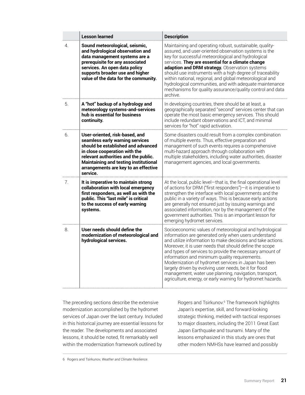|    | <b>Lesson learned</b>                                                                                                                                                                                                                                                                | <b>Description</b>                                                                                                                                                                                                                                                                                                                                                                                                                                                                                                                                                                                |
|----|--------------------------------------------------------------------------------------------------------------------------------------------------------------------------------------------------------------------------------------------------------------------------------------|---------------------------------------------------------------------------------------------------------------------------------------------------------------------------------------------------------------------------------------------------------------------------------------------------------------------------------------------------------------------------------------------------------------------------------------------------------------------------------------------------------------------------------------------------------------------------------------------------|
| 4. | Sound meteorological, seismic,<br>and hydrological observation and<br>data management systems are a<br>prerequisite for any associated<br>services. An open data policy<br>supports broader use and higher<br>value of the data for the community.                                   | Maintaining and operating robust, sustainable, quality-<br>assured, and user-oriented observation systems is the<br>key for successful meteorological and hydrological<br>services. They are essential for a climate change<br>adaption and DRM strategy. Observation systems<br>should use instruments with a high degree of traceability<br>within national, regional, and global meteorological and<br>hydrological communities, and with adequate maintenance<br>mechanisms for quality assurance/quality control and data<br>archive                                                         |
| 5. | A "hot" backup of a hydrology and<br>meteorology systems-and-services<br>hub is essential for business<br>continuity.                                                                                                                                                                | In developing countries, there should be at least, a<br>geographically separated "second" services center that can<br>operate the most basic emergency services. This should<br>include redundant observations and ICT, and minimal<br>services for "hot" rapid activation.                                                                                                                                                                                                                                                                                                                       |
| 6. | User-oriented, risk-based, and<br>seamless early warning services<br>should be established and advanced<br>in close cooperation with the<br>relevant authorities and the public.<br><b>Maintaining and testing institutional</b><br>arrangements are key to an effective<br>service. | Some disasters could result from a complex combination<br>of multiple events. Thus, effective preparation and<br>management of such events requires a comprehensive<br>multi-hazard approach through collaboration with<br>multiple stakeholders, including water authorities, disaster<br>management agencies, and local governments.                                                                                                                                                                                                                                                            |
| 7. | It is imperative to maintain strong<br>collaboration with local emergency<br>first responders, as well as with the<br>public. This "last mile" is critical<br>to the success of early warning<br>systems.                                                                            | At the local, public level-that is, the final operational level<br>of actions for DRM ("first responders")-it is imperative to<br>strengthen the interface with local governments and the<br>public in a variety of ways. This is because early actions<br>are generally not ensured just by issuing warnings and<br>associated information, nor by the management of the<br>government authorities. This is an important lesson for<br>emerging hydromet services.                                                                                                                               |
| 8. | User needs should define the<br>modernization of meteorological and<br>hydrological services.                                                                                                                                                                                        | Socioeconomic values of meteorological and hydrological<br>information are generated only when users understand<br>and utilize information to make decisions and take actions.<br>Moreover, it is user needs that should define the scope<br>and types of services to provide the necessary amount of<br>information and minimum quality requirements.<br>Modernization of hydromet services in Japan has been<br>largely driven by evolving user needs, be it for flood<br>management, water use planning, navigation, transport,<br>agriculture, energy, or early warning for hydromet hazards. |

The preceding sections describe the extensive modernization accomplished by the hydromet services of Japan over the last century. Included in this historical journey are essential lessons for the reader. The developments and associated lessons, it should be noted, fit remarkably well within the modernization framework outlined by

Rogers and Tsirkunov.<sup>6</sup> The framework highlights Japan's expertise, skill, and forward-looking strategic thinking, melded with tactical responses to major disasters, including the 2011 Great East Japan Earthquake and tsunami. Many of the lessons emphasized in this study are ones that other modern NMHSs have learned and possibly

6 Rogers and Tsirkunov, *Weather and Climate Resilience*.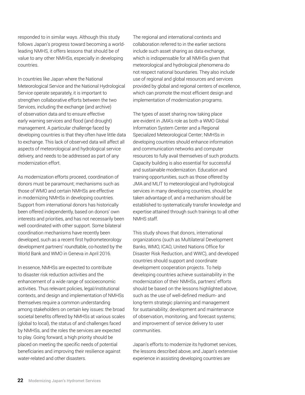responded to in similar ways. Although this study follows Japan's progress toward becoming a worldleading NMHS, it offers lessons that should be of value to any other NMHSs, especially in developing countries.

In countries like Japan where the National Meteorological Service and the National Hydrological Service operate separately, it is important to strengthen collaborative efforts between the two Services, including the exchange (and archive) of observation data and to ensure effective early warning services and flood (and drought) management. A particular challenge faced by developing countries is that they often have little data to exchange. This lack of observed data will affect all aspects of meteorological and hydrological service delivery, and needs to be addressed as part of any modernization effort.

As modernization efforts proceed, coordination of donors must be paramount; mechanisms such as those of WMO and certain NMHSs are effective in modernizing NMHSs in developing countries. Support from international donors has historically been offered independently, based on donors' own interests and priorities, and has not necessarily been well coordinated with other support. Some bilateral coordination mechanisms have recently been developed, such as a recent first hydrometeorology development partners' roundtable, co-hosted by the World Bank and WMO in Geneva in April 2016.

In essence, NMHSs are expected to contribute to disaster risk reduction activities and the enhancement of a wide range of socioeconomic activities. Thus relevant policies, legal/institutional contexts, and design and implementation of NMHSs themselves require a common understanding among stakeholders on certain key issues: the broad societal benefits offered by NMHSs at various scales (global to local), the status of and challenges faced by NMHSs, and the roles the services are expected to play. Going forward, a high priority should be placed on meeting the specific needs of potential beneficiaries and improving their resilience against water-related and other disasters.

The regional and international contexts and collaboration referred to in the earlier sections include such asset sharing as data exchange, which is indispensable for all NMHSs given that meteorological and hydrological phenomena do not respect national boundaries. They also include use of regional and global resources and services provided by global and regional centers of excellence, which can promote the most efficient design and implementation of modernization programs.

The types of asset sharing now taking place are evident in JMA's role as both a WMO Global Information System Center and a Regional Specialized Meteorological Center; NMHSs in developing countries should enhance information and communication networks and computer resources to fully avail themselves of such products. Capacity building is also essential for successful and sustainable modernization. Education and training opportunities, such as those offered by JMA and MLIT to meteorological and hydrological services in many developing countries, should be taken advantage of, and a mechanism should be established to systematically transfer knowledge and expertise attained through such trainings to all other NMHS staff.

This study shows that donors, international organizations (such as Multilateral Development Banks, WMO, ICAO, United Nations Office for Disaster Risk Reduction, and WWC), and developed countries should support and coordinate development cooperation projects. To help developing countries achieve sustainability in the modernization of their NMHSs, partners' efforts should be based on the lessons highlighted above, such as the use of well-defined medium- and long-term strategic planning and management for sustainability; development and maintenance of observation, monitoring, and forecast systems; and improvement of service delivery to user communities.

Japan's efforts to modernize its hydromet services, the lessons described above, and Japan's extensive experience in assisting developing countries are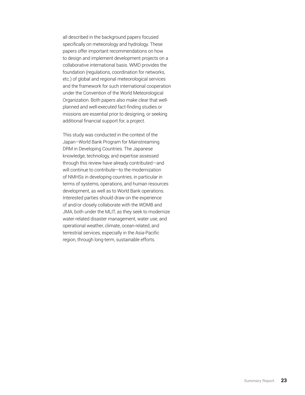all described in the background papers focused specifically on meteorology and hydrology. These papers offer important recommendations on how to design and implement development projects on a collaborative international basis. WMO provides the foundation (regulations, coordination for networks, etc.) of global and regional meteorological services and the framework for such international cooperation under the Convention of the World Meteorological Organization. Both papers also make clear that wellplanned and well-executed fact-finding studies or missions are essential prior to designing, or seeking additional financial support for, a project.

This study was conducted in the context of the Japan–World Bank Program for Mainstreaming DRM in Developing Countries. The Japanese knowledge, technology, and expertise assessed through this review have already contributed—and will continue to contribute—to the modernization of NMHSs in developing countries, in particular in terms of systems, operations, and human resources development, as well as to World Bank operations. Interested parties should draw on the experience of and/or closely collaborate with the WDMB and JMA, both under the MLIT, as they seek to modernize water-related disaster management, water use, and operational weather, climate, ocean-related, and terrestrial services, especially in the Asia-Pacific region, through long-term, sustainable efforts.